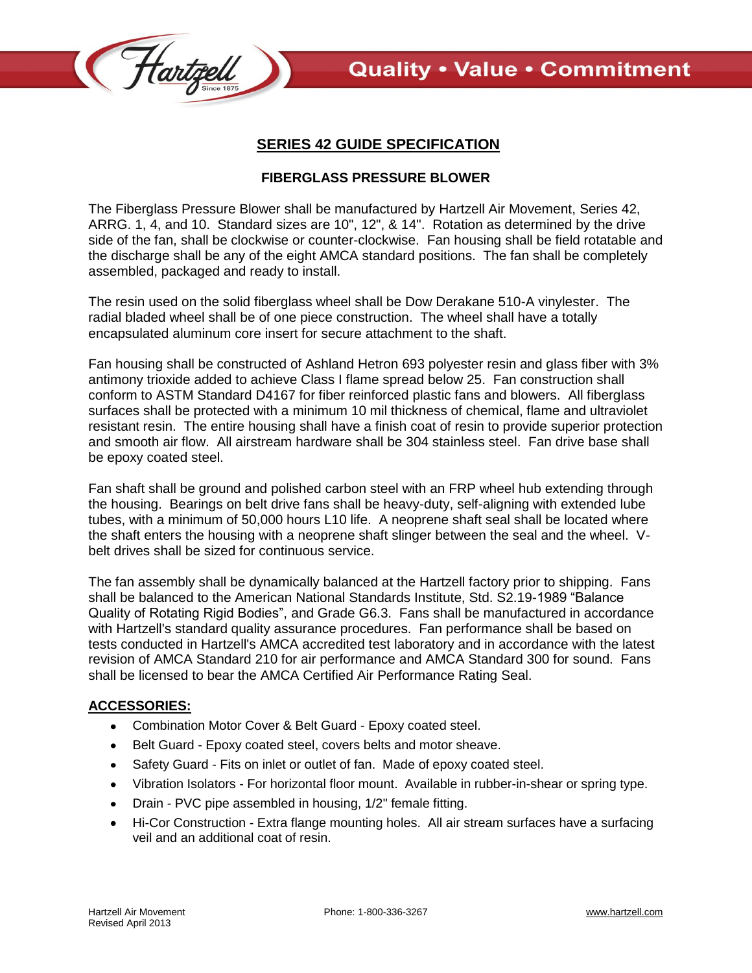



## **SERIES 42 GUIDE SPECIFICATION**

## **FIBERGLASS PRESSURE BLOWER**

The Fiberglass Pressure Blower shall be manufactured by Hartzell Air Movement, Series 42, ARRG. 1, 4, and 10. Standard sizes are 10", 12", & 14". Rotation as determined by the drive side of the fan, shall be clockwise or counter-clockwise. Fan housing shall be field rotatable and the discharge shall be any of the eight AMCA standard positions. The fan shall be completely assembled, packaged and ready to install.

The resin used on the solid fiberglass wheel shall be Dow Derakane 510-A vinylester. The radial bladed wheel shall be of one piece construction. The wheel shall have a totally encapsulated aluminum core insert for secure attachment to the shaft.

Fan housing shall be constructed of Ashland Hetron 693 polyester resin and glass fiber with 3% antimony trioxide added to achieve Class I flame spread below 25. Fan construction shall conform to ASTM Standard D4167 for fiber reinforced plastic fans and blowers. All fiberglass surfaces shall be protected with a minimum 10 mil thickness of chemical, flame and ultraviolet resistant resin. The entire housing shall have a finish coat of resin to provide superior protection and smooth air flow. All airstream hardware shall be 304 stainless steel. Fan drive base shall be epoxy coated steel.

Fan shaft shall be ground and polished carbon steel with an FRP wheel hub extending through the housing. Bearings on belt drive fans shall be heavy-duty, self-aligning with extended lube tubes, with a minimum of 50,000 hours L10 life. A neoprene shaft seal shall be located where the shaft enters the housing with a neoprene shaft slinger between the seal and the wheel. Vbelt drives shall be sized for continuous service.

The fan assembly shall be dynamically balanced at the Hartzell factory prior to shipping. Fans shall be balanced to the American National Standards Institute, Std. S2.19-1989 "Balance Quality of Rotating Rigid Bodies", and Grade G6.3. Fans shall be manufactured in accordance with Hartzell's standard quality assurance procedures. Fan performance shall be based on tests conducted in Hartzell's AMCA accredited test laboratory and in accordance with the latest revision of AMCA Standard 210 for air performance and AMCA Standard 300 for sound. Fans shall be licensed to bear the AMCA Certified Air Performance Rating Seal.

## **ACCESSORIES:**

- Combination Motor Cover & Belt Guard Epoxy coated steel.
- Belt Guard Epoxy coated steel, covers belts and motor sheave.  $\bullet$
- Safety Guard Fits on inlet or outlet of fan. Made of epoxy coated steel.  $\bullet$
- Vibration Isolators For horizontal floor mount. Available in rubber-in-shear or spring type.
- Drain PVC pipe assembled in housing, 1/2" female fitting.
- Hi-Cor Construction Extra flange mounting holes. All air stream surfaces have a surfacing veil and an additional coat of resin.